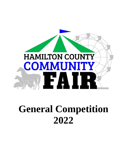

# **General Competition 2022**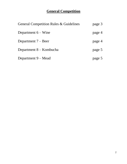# **General Competition**

| General Competition Rules & Guidelines | page 3 |
|----------------------------------------|--------|
| Department $6 -$ Wine                  | page 4 |
| Department $7 -$ Beer                  | page 4 |
| Department 8 – Kombucha                | page 5 |
| Department 9 – Mead                    | page 5 |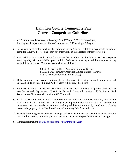# **Hamilton County Community Fair General Competition Guidelines**

- 1. All Exhibits must be entered on Monday, June  $27<sup>th</sup>$  from 6:00 p.m. to 8:00 p.m. Judging for all departments will be on Tuesday, June  $28<sup>th</sup>$  starting at 2:00 p.m.
- 2. All entries must be the work of the exhibitor entering them. Exhibitors may reside outside of Hamilton County. Professionals may not enter works in the class(es) of their profession.
- 3. Each exhibitor has several options for entering their exhibits. Each exhibit must have a separate entry tag, they will be available upon check in. Each person entering an exhibit is required to pay an individual entry fee. Entry fees are available as follows:

\$30.00 4-Day Fair Entry Pass with Unlimited Entries \$15.00 1-Day Fair Entry Pass with Limited Entries (5 Entries) \$ 3.00 Per entry (without an Entry Pass)

- 4. Only two entries per class per exhibitor. Each entry may not be entered more than one year. All unclassified items entered in each "other" class will be judged as a unit.
- 5. Blue, red, or white ribbons will be awarded in each class. A champion purple ribbon will be awarded to each department. First Prize for each **Class** will receive a \$3.00 Award. Each **Department** Champion will receive a \$10.00 Award.
- 6. Exhibit release is Saturday July  $2^{nd}$  from 9:00 p.m. to 10:00 p.m. or Sunday morning, July  $3^{rd}$  from 9:00 a.m. to 10:00 a.m. Please make arrangements to pick up entries at this time. No exhibits will be released prior to Saturday at 9:00 p.m., and any exhibits not retrieved by 10:00 a.m. on Sunday become the property of the Hamilton County Community Fair Association, Inc.
- 7. Security is on the grounds and every attempt will be made to keep your exhibit clean and safe, but the Hamilton County Community Fair Association, Inc. is not responsible for loss or damage.
- 8. Contact information: [board@hccfair.com](mailto:board@hccfair.com) or [henrdrnnr@aol.com](mailto:henrdrnnr@aol.com)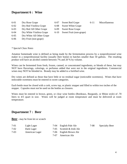## **Department 6 : Wine**

| $6 - 01$ | Dry Rose Grape            | $6 - 07$ | $S_{V}$ |
|----------|---------------------------|----------|---------|
| $6 - 02$ | Dry Red Vinifera Grape    | $6 - 08$ | $S_{V}$ |
| $6 - 03$ | Dry Red All Other Grape   | $6-09$   | Sv      |
| $6 - 04$ | Dry White Vinifera Grape  | $6-10$   | Sv      |
| $6 - 05$ | Dry White All Other Grape |          |         |
| $6 - 06$ | Dry Fruit (non-grape)     |          |         |
|          |                           |          |         |

weet Red Grape 6-11 Miscellaneous

weet White Grape

weet Rose Grape

weet Fruit (non-grape)

*\* Special Class Notes*

Amateur homemade wine is defined as being made by the fermentation process by a nonprofessional wine maker in a nonprofessional facility (usually their home) in batches smaller than 50 gallons. The resulting product will have an alcohol content between 7% and 20 % by volume.

Wines can be fermented from fresh, frozen, canned, or concentrated ingredients, or blends of these, but may NOT have flavorings, colorings, or perfumes added that were not in the original ingredients. Commercial wines may NOT be blended in. Brandy may be added to a fortified wine.

Dry wines are defined as those that have little or no residual sugar (noticeable sweetness). Wines that have noticeable sweetness must be entered in sweet categories.

Each bottle must be closed with a cork, screw top, or plastic stopper and filled to within two inches of the stopper. Capsules must not be used on the bottles as closures.

Wines must be entered in brown, green, or clear wine bottles (Bordeaux, Burgundy, or Rhine style) of .70 liters to 4/5 quart in size. Wines will be judged at room temperature and must be delivered at room temperature.

#### **Department 7 : Beer**

**Beer** - may be from kit or scratch

| $7-01$   | Light Lager    |      | 7-04 English Pale Ale     | 7-08 | <b>Specialty Beer</b> |
|----------|----------------|------|---------------------------|------|-----------------------|
| $7 - 02$ | Dark Lager     |      | 7-05 Scottish & Irish Ale |      |                       |
| $7-03$   | American Lager |      | 7-06 English Brown Ale    |      |                       |
|          |                | 7-07 | American Ale              |      |                       |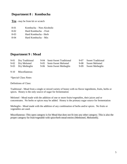#### **Department 8 : Kombucha**

**Tea** - may be from kit or scratch

- 8-01 Kombucha Non-Alcoholic
- 8-02 Hard Kombucha Fruit
- 8-03 Hard Kombucha Herb
- 8-04 Hard Kombucha Mix

### **Department 9 : Mead**

| 9-01 Dry Traditional | 9-04 Semi-Sweet Traditional | 9-07 Sweet Traditional |
|----------------------|-----------------------------|------------------------|
| 9-02 Dry Melomel     | 9-05 Semi-Sweet Melomel     | 9-08 Sweet Melomel     |
| 9-03 Dry Metheglin   | 9-06 Semi-Sweet Metheglin   | 9-09 Sweet Metheglin   |

9-10 Miscellaneous

*\*Special Class Notes*

Definitions of Class:

Traditional - Mead from a single or mixed variety of honey with no flavor ingredients, fruits, herbs or spices. Honey is the only source of sugar for fermentation

Melomel - Mead made with the addition of one or more fruits/vegetables, their juices and or concentrates. No herbs or spices may be added. Honey is the primary sugar source for fermentation

Metheglin - Mead made with the addition of any combination of herbs and/or spices. No fruits or vegetables are used.

Miscellaneous -This open category is for Mead that does not fit into any other category. This is also the proper category for fruit/vegetable with spice/herb mead entries (Methomel, Melometh).